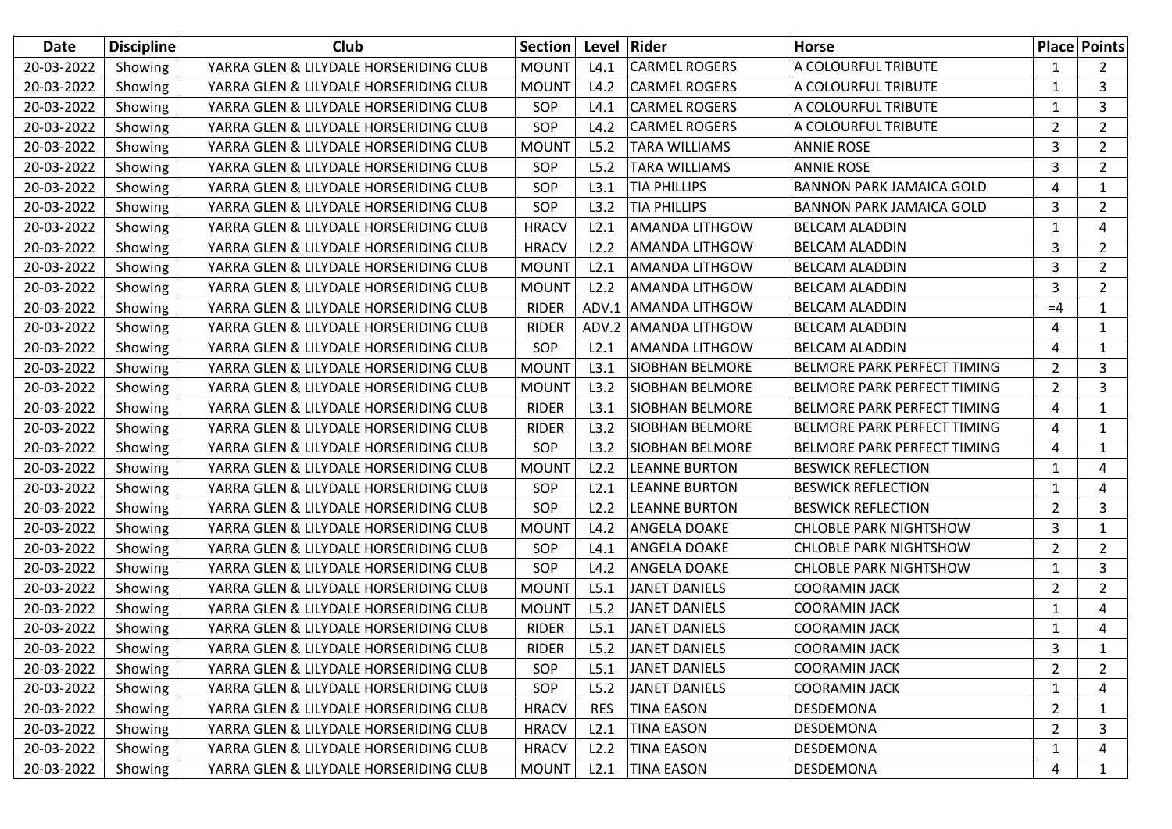| Date       | <b>Discipline</b> | Club                                   | <b>Section</b> | Level      | Rider                  | <b>Horse</b>                    |                | <b>Place Points</b> |
|------------|-------------------|----------------------------------------|----------------|------------|------------------------|---------------------------------|----------------|---------------------|
| 20-03-2022 | Showing           | YARRA GLEN & LILYDALE HORSERIDING CLUB | <b>MOUNT</b>   | L4.1       | <b>CARMEL ROGERS</b>   | A COLOURFUL TRIBUTE             | 1              | $\overline{2}$      |
| 20-03-2022 | Showing           | YARRA GLEN & LILYDALE HORSERIDING CLUB | <b>MOUNT</b>   | L4.2       | <b>CARMEL ROGERS</b>   | A COLOURFUL TRIBUTE             | 1              | 3                   |
| 20-03-2022 | Showing           | YARRA GLEN & LILYDALE HORSERIDING CLUB | SOP            | L4.1       | <b>CARMEL ROGERS</b>   | A COLOURFUL TRIBUTE             | 1              | 3                   |
| 20-03-2022 | Showing           | YARRA GLEN & LILYDALE HORSERIDING CLUB | SOP            | L4.2       | <b>CARMEL ROGERS</b>   | A COLOURFUL TRIBUTE             | 2              | $\overline{2}$      |
| 20-03-2022 | Showing           | YARRA GLEN & LILYDALE HORSERIDING CLUB | <b>MOUNT</b>   | L5.2       | <b>TARA WILLIAMS</b>   | <b>ANNIE ROSE</b>               | 3              | $\overline{2}$      |
| 20-03-2022 | Showing           | YARRA GLEN & LILYDALE HORSERIDING CLUB | SOP            | L5.2       | <b>TARA WILLIAMS</b>   | <b>ANNIE ROSE</b>               | 3              | $\overline{2}$      |
| 20-03-2022 | Showing           | YARRA GLEN & LILYDALE HORSERIDING CLUB | SOP            | L3.1       | TIA PHILLIPS           | <b>BANNON PARK JAMAICA GOLD</b> | 4              | 1                   |
| 20-03-2022 | Showing           | YARRA GLEN & LILYDALE HORSERIDING CLUB | SOP            | L3.2       | <b>TIA PHILLIPS</b>    | <b>BANNON PARK JAMAICA GOLD</b> | 3              | $\overline{2}$      |
| 20-03-2022 | Showing           | YARRA GLEN & LILYDALE HORSERIDING CLUB | <b>HRACV</b>   | L2.1       | AMANDA LITHGOW         | <b>BELCAM ALADDIN</b>           | 1              | 4                   |
| 20-03-2022 | Showing           | YARRA GLEN & LILYDALE HORSERIDING CLUB | <b>HRACV</b>   | L2.2       | AMANDA LITHGOW         | <b>BELCAM ALADDIN</b>           | 3              | $\overline{2}$      |
| 20-03-2022 | Showing           | YARRA GLEN & LILYDALE HORSERIDING CLUB | <b>MOUNT</b>   | L2.1       | <b>AMANDA LITHGOW</b>  | <b>BELCAM ALADDIN</b>           | 3              | $\overline{2}$      |
| 20-03-2022 | Showing           | YARRA GLEN & LILYDALE HORSERIDING CLUB | <b>MOUNT</b>   | L2.2       | AMANDA LITHGOW         | <b>BELCAM ALADDIN</b>           | 3              | $\overline{2}$      |
| 20-03-2022 | Showing           | YARRA GLEN & LILYDALE HORSERIDING CLUB | <b>RIDER</b>   | ADV.1      | <b>AMANDA LITHGOW</b>  | <b>BELCAM ALADDIN</b>           | $=4$           | $\mathbf{1}$        |
| 20-03-2022 | Showing           | YARRA GLEN & LILYDALE HORSERIDING CLUB | <b>RIDER</b>   | ADV.2      | <b>AMANDA LITHGOW</b>  | <b>BELCAM ALADDIN</b>           | 4              | 1                   |
| 20-03-2022 | Showing           | YARRA GLEN & LILYDALE HORSERIDING CLUB | SOP            | L2.1       | <b>AMANDA LITHGOW</b>  | <b>BELCAM ALADDIN</b>           | 4              | 1                   |
| 20-03-2022 | Showing           | YARRA GLEN & LILYDALE HORSERIDING CLUB | <b>MOUNT</b>   | L3.1       | <b>SIOBHAN BELMORE</b> | BELMORE PARK PERFECT TIMING     | $\overline{2}$ | 3                   |
| 20-03-2022 | Showing           | YARRA GLEN & LILYDALE HORSERIDING CLUB | <b>MOUNT</b>   | L3.2       | SIOBHAN BELMORE        | BELMORE PARK PERFECT TIMING     | $\overline{2}$ | 3                   |
| 20-03-2022 | Showing           | YARRA GLEN & LILYDALE HORSERIDING CLUB | <b>RIDER</b>   | L3.1       | <b>SIOBHAN BELMORE</b> | BELMORE PARK PERFECT TIMING     | 4              | $\mathbf{1}$        |
| 20-03-2022 | Showing           | YARRA GLEN & LILYDALE HORSERIDING CLUB | <b>RIDER</b>   | L3.2       | SIOBHAN BELMORE        | BELMORE PARK PERFECT TIMING     | 4              | 1                   |
| 20-03-2022 | Showing           | YARRA GLEN & LILYDALE HORSERIDING CLUB | SOP            | L3.2       | SIOBHAN BELMORE        | BELMORE PARK PERFECT TIMING     | 4              | 1                   |
| 20-03-2022 | Showing           | YARRA GLEN & LILYDALE HORSERIDING CLUB | <b>MOUNT</b>   | L2.2       | <b>LEANNE BURTON</b>   | <b>BESWICK REFLECTION</b>       |                | 4                   |
| 20-03-2022 | Showing           | YARRA GLEN & LILYDALE HORSERIDING CLUB | <b>SOP</b>     | L2.1       | <b>LEANNE BURTON</b>   | <b>BESWICK REFLECTION</b>       | 1              | 4                   |
| 20-03-2022 | Showing           | YARRA GLEN & LILYDALE HORSERIDING CLUB | SOP            | L2.2       | <b>LEANNE BURTON</b>   | <b>BESWICK REFLECTION</b>       | $\overline{2}$ | 3                   |
| 20-03-2022 | Showing           | YARRA GLEN & LILYDALE HORSERIDING CLUB | <b>MOUNT</b>   | L4.2       | ANGELA DOAKE           | <b>CHLOBLE PARK NIGHTSHOW</b>   | 3              | 1                   |
| 20-03-2022 | Showing           | YARRA GLEN & LILYDALE HORSERIDING CLUB | SOP            | L4.1       | ANGELA DOAKE           | <b>CHLOBLE PARK NIGHTSHOW</b>   | $\overline{2}$ | $\overline{2}$      |
| 20-03-2022 | Showing           | YARRA GLEN & LILYDALE HORSERIDING CLUB | SOP            | L4.2       | <b>ANGELA DOAKE</b>    | <b>CHLOBLE PARK NIGHTSHOW</b>   |                | 3                   |
| 20-03-2022 | Showing           | YARRA GLEN & LILYDALE HORSERIDING CLUB | <b>MOUNT</b>   | L5.1       | <b>JANET DANIELS</b>   | <b>COORAMIN JACK</b>            | 2              | $\overline{2}$      |
| 20-03-2022 | Showing           | YARRA GLEN & LILYDALE HORSERIDING CLUB | <b>MOUNT</b>   | L5.2       | <b>JANET DANIELS</b>   | <b>COORAMIN JACK</b>            | 1              | 4                   |
| 20-03-2022 | Showing           | YARRA GLEN & LILYDALE HORSERIDING CLUB | <b>RIDER</b>   | L5.1       | <b>JANET DANIELS</b>   | <b>COORAMIN JACK</b>            | 1              | 4                   |
| 20-03-2022 | Showing           | YARRA GLEN & LILYDALE HORSERIDING CLUB | <b>RIDER</b>   | L5.2       | JANET DANIELS          | <b>COORAMIN JACK</b>            | 3              | $\mathbf{1}$        |
| 20-03-2022 | Showing           | YARRA GLEN & LILYDALE HORSERIDING CLUB | <b>SOP</b>     | L5.1       | JANET DANIELS          | <b>COORAMIN JACK</b>            | $\overline{2}$ | 2                   |
| 20-03-2022 | Showing           | YARRA GLEN & LILYDALE HORSERIDING CLUB | SOP            | L5.2       | <b>JANET DANIELS</b>   | <b>COORAMIN JACK</b>            | 1              | 4                   |
| 20-03-2022 | Showing           | YARRA GLEN & LILYDALE HORSERIDING CLUB | <b>HRACV</b>   | <b>RES</b> | <b>TINA EASON</b>      | DESDEMONA                       | $\overline{2}$ | 1                   |
| 20-03-2022 | Showing           | YARRA GLEN & LILYDALE HORSERIDING CLUB | <b>HRACV</b>   | L2.1       | <b>TINA EASON</b>      | DESDEMONA                       | $\overline{2}$ | 3                   |
| 20-03-2022 | Showing           | YARRA GLEN & LILYDALE HORSERIDING CLUB | <b>HRACV</b>   | L2.2       | <b>TINA EASON</b>      | <b>DESDEMONA</b>                | 1              | 4                   |
| 20-03-2022 | Showing           | YARRA GLEN & LILYDALE HORSERIDING CLUB | <b>MOUNT</b>   | L2.1       | <b>TINA EASON</b>      | DESDEMONA                       | 4              | $\mathbf{1}$        |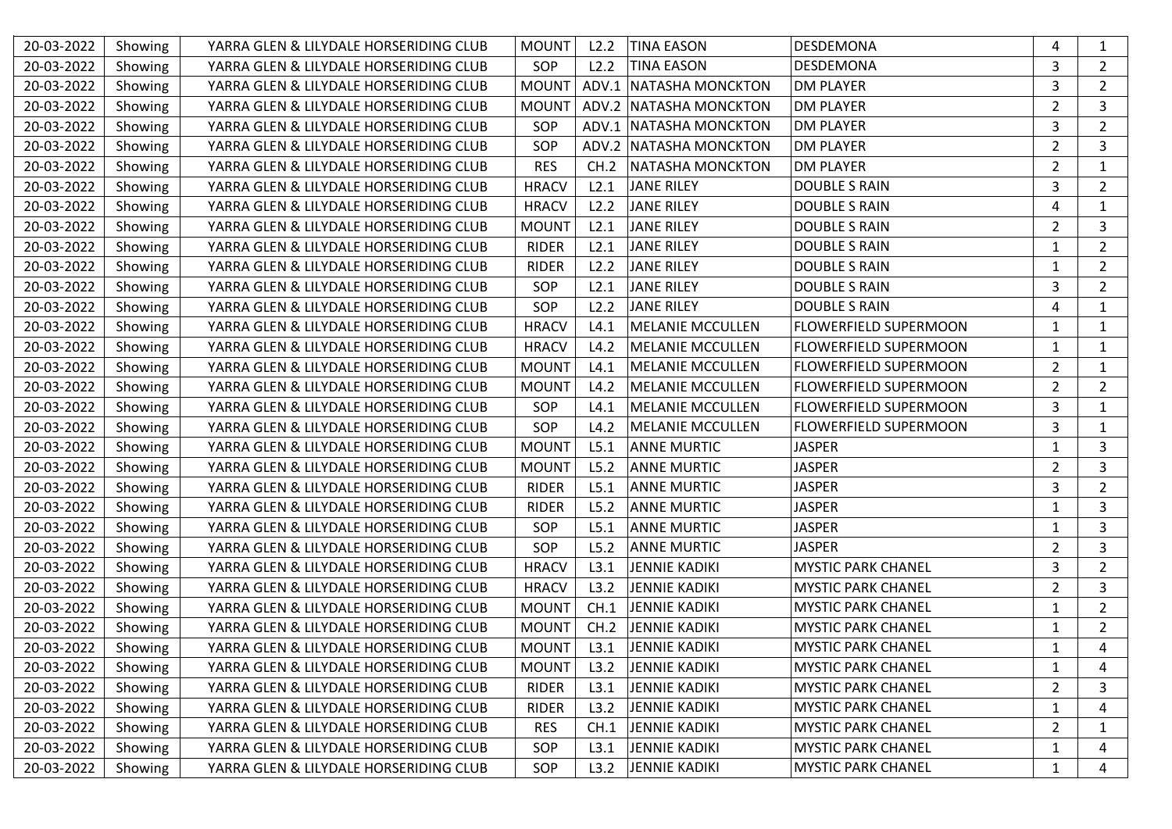| 20-03-2022 | Showing | YARRA GLEN & LILYDALE HORSERIDING CLUB | <b>MOUNT</b> | L2.2 | <b>TINA EASON</b>       | DESDEMONA                    | 4              | 1              |
|------------|---------|----------------------------------------|--------------|------|-------------------------|------------------------------|----------------|----------------|
| 20-03-2022 | Showing | YARRA GLEN & LILYDALE HORSERIDING CLUB | SOP          | L2.2 | <b>TINA EASON</b>       | DESDEMONA                    | 3              | $\overline{2}$ |
| 20-03-2022 | Showing | YARRA GLEN & LILYDALE HORSERIDING CLUB | <b>MOUNT</b> |      | ADV.1 NATASHA MONCKTON  | <b>DM PLAYER</b>             | 3              | $\overline{2}$ |
| 20-03-2022 | Showing | YARRA GLEN & LILYDALE HORSERIDING CLUB | <b>MOUNT</b> |      | ADV.2 NATASHA MONCKTON  | <b>DM PLAYER</b>             | $\overline{2}$ | 3              |
| 20-03-2022 | Showing | YARRA GLEN & LILYDALE HORSERIDING CLUB | SOP          |      | ADV.1 NATASHA MONCKTON  | <b>DM PLAYER</b>             | 3              | $\overline{2}$ |
| 20-03-2022 | Showing | YARRA GLEN & LILYDALE HORSERIDING CLUB | SOP          |      | ADV.2 NATASHA MONCKTON  | <b>DM PLAYER</b>             | 2              | 3              |
| 20-03-2022 | Showing | YARRA GLEN & LILYDALE HORSERIDING CLUB | <b>RES</b>   | CH.2 | NATASHA MONCKTON        | <b>DM PLAYER</b>             | $\overline{2}$ | $\mathbf{1}$   |
| 20-03-2022 | Showing | YARRA GLEN & LILYDALE HORSERIDING CLUB | <b>HRACV</b> | L2.1 | JANE RILEY              | <b>DOUBLE S RAIN</b>         | 3              | $\overline{2}$ |
| 20-03-2022 | Showing | YARRA GLEN & LILYDALE HORSERIDING CLUB | <b>HRACV</b> | L2.2 | JANE RILEY              | <b>DOUBLE S RAIN</b>         | 4              | $\mathbf{1}$   |
| 20-03-2022 | Showing | YARRA GLEN & LILYDALE HORSERIDING CLUB | <b>MOUNT</b> | L2.1 | <b>JANE RILEY</b>       | <b>DOUBLE S RAIN</b>         | $\overline{2}$ | 3              |
| 20-03-2022 | Showing | YARRA GLEN & LILYDALE HORSERIDING CLUB | <b>RIDER</b> | L2.1 | <b>JANE RILEY</b>       | <b>DOUBLE S RAIN</b>         | 1              | $\overline{2}$ |
| 20-03-2022 | Showing | YARRA GLEN & LILYDALE HORSERIDING CLUB | <b>RIDER</b> | L2.2 | JANE RILEY              | <b>DOUBLE S RAIN</b>         | 1              | $\overline{2}$ |
| 20-03-2022 | Showing | YARRA GLEN & LILYDALE HORSERIDING CLUB | SOP          | L2.1 | JANE RILEY              | <b>DOUBLE S RAIN</b>         | 3              | $\overline{2}$ |
| 20-03-2022 | Showing | YARRA GLEN & LILYDALE HORSERIDING CLUB | SOP          | L2.2 | <b>JANE RILEY</b>       | <b>DOUBLE S RAIN</b>         | 4              | $\mathbf{1}$   |
| 20-03-2022 | Showing | YARRA GLEN & LILYDALE HORSERIDING CLUB | <b>HRACV</b> | L4.1 | <b>MELANIE MCCULLEN</b> | FLOWERFIELD SUPERMOON        | 1              | $\mathbf{1}$   |
| 20-03-2022 | Showing | YARRA GLEN & LILYDALE HORSERIDING CLUB | <b>HRACV</b> | L4.2 | <b>MELANIE MCCULLEN</b> | <b>FLOWERFIELD SUPERMOON</b> | 1              | 1              |
| 20-03-2022 | Showing | YARRA GLEN & LILYDALE HORSERIDING CLUB | <b>MOUNT</b> | L4.1 | <b>MELANIE MCCULLEN</b> | FLOWERFIELD SUPERMOON        | $\overline{2}$ | $\mathbf{1}$   |
| 20-03-2022 | Showing | YARRA GLEN & LILYDALE HORSERIDING CLUB | <b>MOUNT</b> | L4.2 | <b>MELANIE MCCULLEN</b> | <b>FLOWERFIELD SUPERMOON</b> | $\overline{2}$ | $\overline{2}$ |
| 20-03-2022 | Showing | YARRA GLEN & LILYDALE HORSERIDING CLUB | SOP          | L4.1 | <b>MELANIE MCCULLEN</b> | FLOWERFIELD SUPERMOON        | 3              | $\mathbf{1}$   |
| 20-03-2022 | Showing | YARRA GLEN & LILYDALE HORSERIDING CLUB | SOP          | L4.2 | <b>MELANIE MCCULLEN</b> | <b>FLOWERFIELD SUPERMOON</b> | 3              | $\mathbf{1}$   |
| 20-03-2022 | Showing | YARRA GLEN & LILYDALE HORSERIDING CLUB | <b>MOUNT</b> | L5.1 | <b>ANNE MURTIC</b>      | <b>JASPER</b>                | 1              | 3              |
| 20-03-2022 | Showing | YARRA GLEN & LILYDALE HORSERIDING CLUB | <b>MOUNT</b> | L5.2 | <b>ANNE MURTIC</b>      | <b>JASPER</b>                | $\overline{2}$ | 3              |
| 20-03-2022 | Showing | YARRA GLEN & LILYDALE HORSERIDING CLUB | <b>RIDER</b> | L5.1 | <b>ANNE MURTIC</b>      | <b>JASPER</b>                | 3              | $\overline{2}$ |
| 20-03-2022 | Showing | YARRA GLEN & LILYDALE HORSERIDING CLUB | <b>RIDER</b> | L5.2 | <b>ANNE MURTIC</b>      | <b>JASPER</b>                | 1              | 3              |
| 20-03-2022 | Showing | YARRA GLEN & LILYDALE HORSERIDING CLUB | SOP          | L5.1 | <b>ANNE MURTIC</b>      | <b>JASPER</b>                | 1              | 3              |
| 20-03-2022 | Showing | YARRA GLEN & LILYDALE HORSERIDING CLUB | SOP          | L5.2 | <b>ANNE MURTIC</b>      | <b>JASPER</b>                | 2              | 3              |
| 20-03-2022 | Showing | YARRA GLEN & LILYDALE HORSERIDING CLUB | <b>HRACV</b> | L3.1 | <b>JENNIE KADIKI</b>    | <b>MYSTIC PARK CHANEL</b>    | 3              | $\overline{2}$ |
| 20-03-2022 | Showing | YARRA GLEN & LILYDALE HORSERIDING CLUB | <b>HRACV</b> | L3.2 | <b>JENNIE KADIKI</b>    | <b>MYSTIC PARK CHANEL</b>    | $\overline{2}$ | 3              |
| 20-03-2022 | Showing | YARRA GLEN & LILYDALE HORSERIDING CLUB | <b>MOUNT</b> | CH.1 | JENNIE KADIKI           | <b>MYSTIC PARK CHANEL</b>    | 1              | $\overline{2}$ |
| 20-03-2022 | Showing | YARRA GLEN & LILYDALE HORSERIDING CLUB | <b>MOUNT</b> | CH.2 | JENNIE KADIKI           | <b>MYSTIC PARK CHANEL</b>    | 1              | $\overline{2}$ |
| 20-03-2022 | Showing | YARRA GLEN & LILYDALE HORSERIDING CLUB | <b>MOUNT</b> | L3.1 | JENNIE KADIKI           | <b>MYSTIC PARK CHANEL</b>    | $\mathbf{1}$   | 4              |
| 20-03-2022 | Showing | YARRA GLEN & LILYDALE HORSERIDING CLUB | <b>MOUNT</b> | L3.2 | JENNIE KADIKI           | <b>MYSTIC PARK CHANEL</b>    | 1              | 4              |
| 20-03-2022 | Showing | YARRA GLEN & LILYDALE HORSERIDING CLUB | <b>RIDER</b> | L3.1 | <b>JENNIE KADIKI</b>    | <b>MYSTIC PARK CHANEL</b>    | $\overline{2}$ | 3              |
| 20-03-2022 | Showing | YARRA GLEN & LILYDALE HORSERIDING CLUB | RIDER        | L3.2 | JENNIE KADIKI           | <b>MYSTIC PARK CHANEL</b>    | 1              | 4              |
| 20-03-2022 | Showing | YARRA GLEN & LILYDALE HORSERIDING CLUB | <b>RES</b>   | CH.1 | JENNIE KADIKI           | <b>MYSTIC PARK CHANEL</b>    | $\overline{2}$ | $\mathbf{1}$   |
| 20-03-2022 | Showing | YARRA GLEN & LILYDALE HORSERIDING CLUB | SOP          | L3.1 | <b>JENNIE KADIKI</b>    | <b>MYSTIC PARK CHANEL</b>    | 1              | 4              |
| 20-03-2022 | Showing | YARRA GLEN & LILYDALE HORSERIDING CLUB | <b>SOP</b>   | L3.2 | <b>JENNIE KADIKI</b>    | <b>MYSTIC PARK CHANEL</b>    | $\mathbf{1}$   | 4              |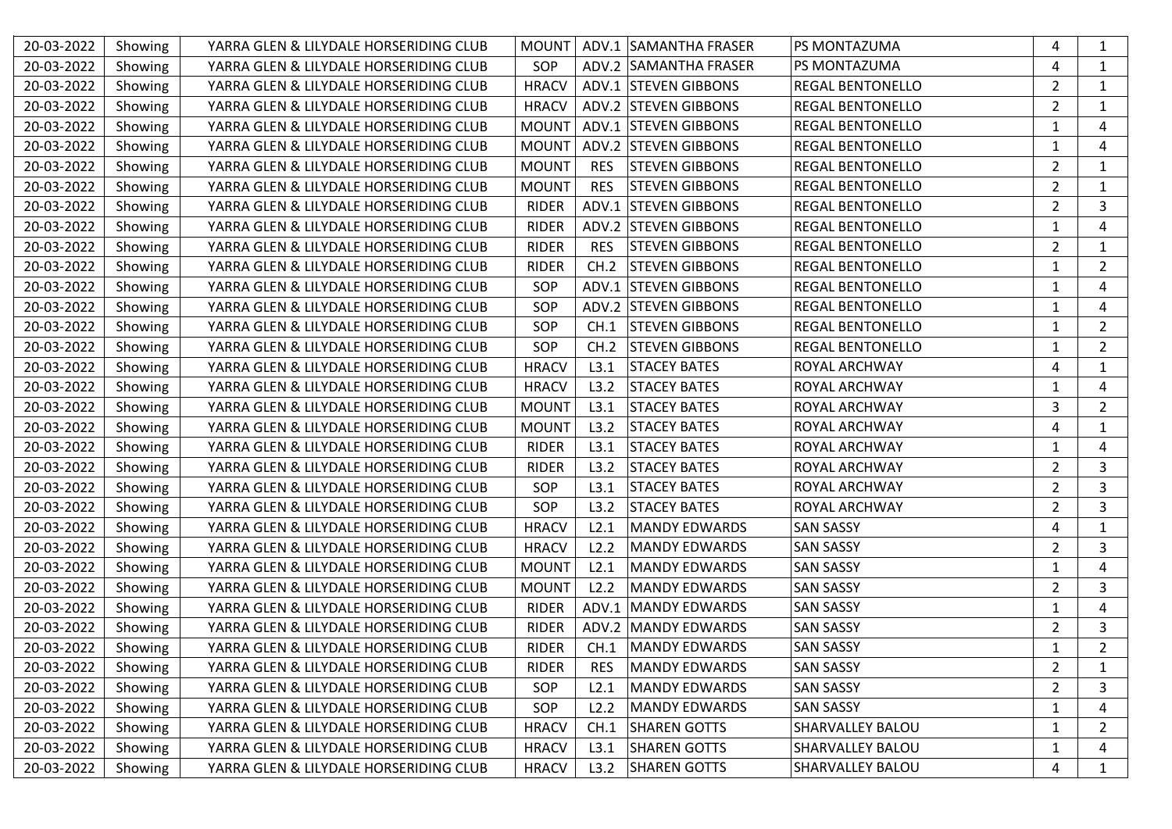| 20-03-2022 | Showing | YARRA GLEN & LILYDALE HORSERIDING CLUB | <b>MOUNT</b> |            | ADV.1 SAMANTHA FRASER       | PS MONTAZUMA            | 4              | 1              |
|------------|---------|----------------------------------------|--------------|------------|-----------------------------|-------------------------|----------------|----------------|
| 20-03-2022 | Showing | YARRA GLEN & LILYDALE HORSERIDING CLUB | SOP          |            | ADV.2 SAMANTHA FRASER       | PS MONTAZUMA            | 4              | 1              |
| 20-03-2022 | Showing | YARRA GLEN & LILYDALE HORSERIDING CLUB | <b>HRACV</b> |            | ADV.1 STEVEN GIBBONS        | REGAL BENTONELLO        | 2              | 1              |
| 20-03-2022 | Showing | YARRA GLEN & LILYDALE HORSERIDING CLUB | <b>HRACV</b> |            | ADV.2 STEVEN GIBBONS        | <b>REGAL BENTONELLO</b> | $\overline{2}$ | 1              |
| 20-03-2022 | Showing | YARRA GLEN & LILYDALE HORSERIDING CLUB | <b>MOUNT</b> |            | ADV.1 STEVEN GIBBONS        | <b>REGAL BENTONELLO</b> | 1              | 4              |
| 20-03-2022 | Showing | YARRA GLEN & LILYDALE HORSERIDING CLUB | <b>MOUNT</b> |            | ADV.2 STEVEN GIBBONS        | <b>REGAL BENTONELLO</b> | 1              | 4              |
| 20-03-2022 | Showing | YARRA GLEN & LILYDALE HORSERIDING CLUB | <b>MOUNT</b> | <b>RES</b> | <b>STEVEN GIBBONS</b>       | <b>REGAL BENTONELLO</b> | $\mathbf{2}$   |                |
| 20-03-2022 | Showing | YARRA GLEN & LILYDALE HORSERIDING CLUB | <b>MOUNT</b> | <b>RES</b> | <b>STEVEN GIBBONS</b>       | <b>REGAL BENTONELLO</b> | $\overline{2}$ | 1              |
| 20-03-2022 | Showing | YARRA GLEN & LILYDALE HORSERIDING CLUB | <b>RIDER</b> |            | ADV.1 STEVEN GIBBONS        | <b>REGAL BENTONELLO</b> | 2              | 3              |
| 20-03-2022 | Showing | YARRA GLEN & LILYDALE HORSERIDING CLUB | <b>RIDER</b> |            | ADV.2 STEVEN GIBBONS        | <b>REGAL BENTONELLO</b> | $\mathbf{1}$   | 4              |
| 20-03-2022 | Showing | YARRA GLEN & LILYDALE HORSERIDING CLUB | <b>RIDER</b> | <b>RES</b> | <b>STEVEN GIBBONS</b>       | <b>REGAL BENTONELLO</b> | 2              | 1              |
| 20-03-2022 | Showing | YARRA GLEN & LILYDALE HORSERIDING CLUB | <b>RIDER</b> | CH.2       | <b>STEVEN GIBBONS</b>       | REGAL BENTONELLO        | 1              | $\overline{2}$ |
| 20-03-2022 | Showing | YARRA GLEN & LILYDALE HORSERIDING CLUB | <b>SOP</b>   |            | <b>ADV.1 STEVEN GIBBONS</b> | <b>REGAL BENTONELLO</b> | 1              | 4              |
| 20-03-2022 | Showing | YARRA GLEN & LILYDALE HORSERIDING CLUB | <b>SOP</b>   |            | ADV.2 STEVEN GIBBONS        | <b>REGAL BENTONELLO</b> | 1              | 4              |
| 20-03-2022 | Showing | YARRA GLEN & LILYDALE HORSERIDING CLUB | SOP          |            | CH.1 STEVEN GIBBONS         | <b>REGAL BENTONELLO</b> | 1              | $\overline{2}$ |
| 20-03-2022 | Showing | YARRA GLEN & LILYDALE HORSERIDING CLUB | SOP          | CH.2       | <b>STEVEN GIBBONS</b>       | <b>REGAL BENTONELLO</b> | 1              | $\overline{2}$ |
| 20-03-2022 | Showing | YARRA GLEN & LILYDALE HORSERIDING CLUB | <b>HRACV</b> | L3.1       | <b>STACEY BATES</b>         | ROYAL ARCHWAY           | 4              |                |
| 20-03-2022 | Showing | YARRA GLEN & LILYDALE HORSERIDING CLUB | <b>HRACV</b> | L3.2       | <b>STACEY BATES</b>         | ROYAL ARCHWAY           | 1              | 4              |
| 20-03-2022 | Showing | YARRA GLEN & LILYDALE HORSERIDING CLUB | <b>MOUNT</b> | L3.1       | <b>STACEY BATES</b>         | ROYAL ARCHWAY           | 3              | $\overline{2}$ |
| 20-03-2022 | Showing | YARRA GLEN & LILYDALE HORSERIDING CLUB | <b>MOUNT</b> | L3.2       | <b>STACEY BATES</b>         | ROYAL ARCHWAY           | 4              | 1              |
| 20-03-2022 | Showing | YARRA GLEN & LILYDALE HORSERIDING CLUB | <b>RIDER</b> | L3.1       | <b>STACEY BATES</b>         | ROYAL ARCHWAY           | 1              | 4              |
| 20-03-2022 | Showing | YARRA GLEN & LILYDALE HORSERIDING CLUB | <b>RIDER</b> | L3.2       | <b>STACEY BATES</b>         | ROYAL ARCHWAY           | $\overline{2}$ | 3              |
| 20-03-2022 | Showing | YARRA GLEN & LILYDALE HORSERIDING CLUB | <b>SOP</b>   | L3.1       | <b>STACEY BATES</b>         | ROYAL ARCHWAY           | $\overline{2}$ | 3              |
| 20-03-2022 | Showing | YARRA GLEN & LILYDALE HORSERIDING CLUB | <b>SOP</b>   | L3.2       | <b>STACEY BATES</b>         | ROYAL ARCHWAY           | 2              | 3              |
| 20-03-2022 | Showing | YARRA GLEN & LILYDALE HORSERIDING CLUB | <b>HRACV</b> | L2.1       | <b>MANDY EDWARDS</b>        | <b>SAN SASSY</b>        | 4              | 1              |
| 20-03-2022 | Showing | YARRA GLEN & LILYDALE HORSERIDING CLUB | <b>HRACV</b> | L2.2       | <b>MANDY EDWARDS</b>        | <b>SAN SASSY</b>        | 2              | 3              |
| 20-03-2022 | Showing | YARRA GLEN & LILYDALE HORSERIDING CLUB | <b>MOUNT</b> | L2.1       | <b>MANDY EDWARDS</b>        | <b>SAN SASSY</b>        | 1              | 4              |
| 20-03-2022 | Showing | YARRA GLEN & LILYDALE HORSERIDING CLUB | <b>MOUNT</b> | L2.2       | <b>MANDY EDWARDS</b>        | <b>SAN SASSY</b>        | $\overline{2}$ | 3              |
| 20-03-2022 | Showing | YARRA GLEN & LILYDALE HORSERIDING CLUB | <b>RIDER</b> | ADV.1      | <b>MANDY EDWARDS</b>        | <b>SAN SASSY</b>        | 1              | 4              |
| 20-03-2022 | Showing | YARRA GLEN & LILYDALE HORSERIDING CLUB | <b>RIDER</b> |            | ADV.2 MANDY EDWARDS         | <b>SAN SASSY</b>        | $\overline{2}$ | 3              |
| 20-03-2022 | Showing | YARRA GLEN & LILYDALE HORSERIDING CLUB | <b>RIDER</b> |            | CH.1   MANDY EDWARDS        | <b>SAN SASSY</b>        | $\mathbf{1}$   | $\overline{2}$ |
| 20-03-2022 | Showing | YARRA GLEN & LILYDALE HORSERIDING CLUB | <b>RIDER</b> | <b>RES</b> | <b>MANDY EDWARDS</b>        | <b>SAN SASSY</b>        | 2              | 1              |
| 20-03-2022 | Showing | YARRA GLEN & LILYDALE HORSERIDING CLUB | <b>SOP</b>   | L2.1       | <b>MANDY EDWARDS</b>        | <b>SAN SASSY</b>        | $\overline{2}$ | 3              |
| 20-03-2022 | Showing | YARRA GLEN & LILYDALE HORSERIDING CLUB | SOP          | L2.2       | <b>MANDY EDWARDS</b>        | <b>SAN SASSY</b>        | 1              | 4              |
| 20-03-2022 | Showing | YARRA GLEN & LILYDALE HORSERIDING CLUB | <b>HRACV</b> | CH.1       | <b>SHAREN GOTTS</b>         | SHARVALLEY BALOU        | $\mathbf{1}$   | $\overline{2}$ |
| 20-03-2022 | Showing | YARRA GLEN & LILYDALE HORSERIDING CLUB | <b>HRACV</b> | L3.1       | <b>SHAREN GOTTS</b>         | SHARVALLEY BALOU        | $\mathbf{1}$   | 4              |
| 20-03-2022 | Showing | YARRA GLEN & LILYDALE HORSERIDING CLUB | <b>HRACV</b> | L3.2       | <b>SHAREN GOTTS</b>         | SHARVALLEY BALOU        | 4              | 1              |